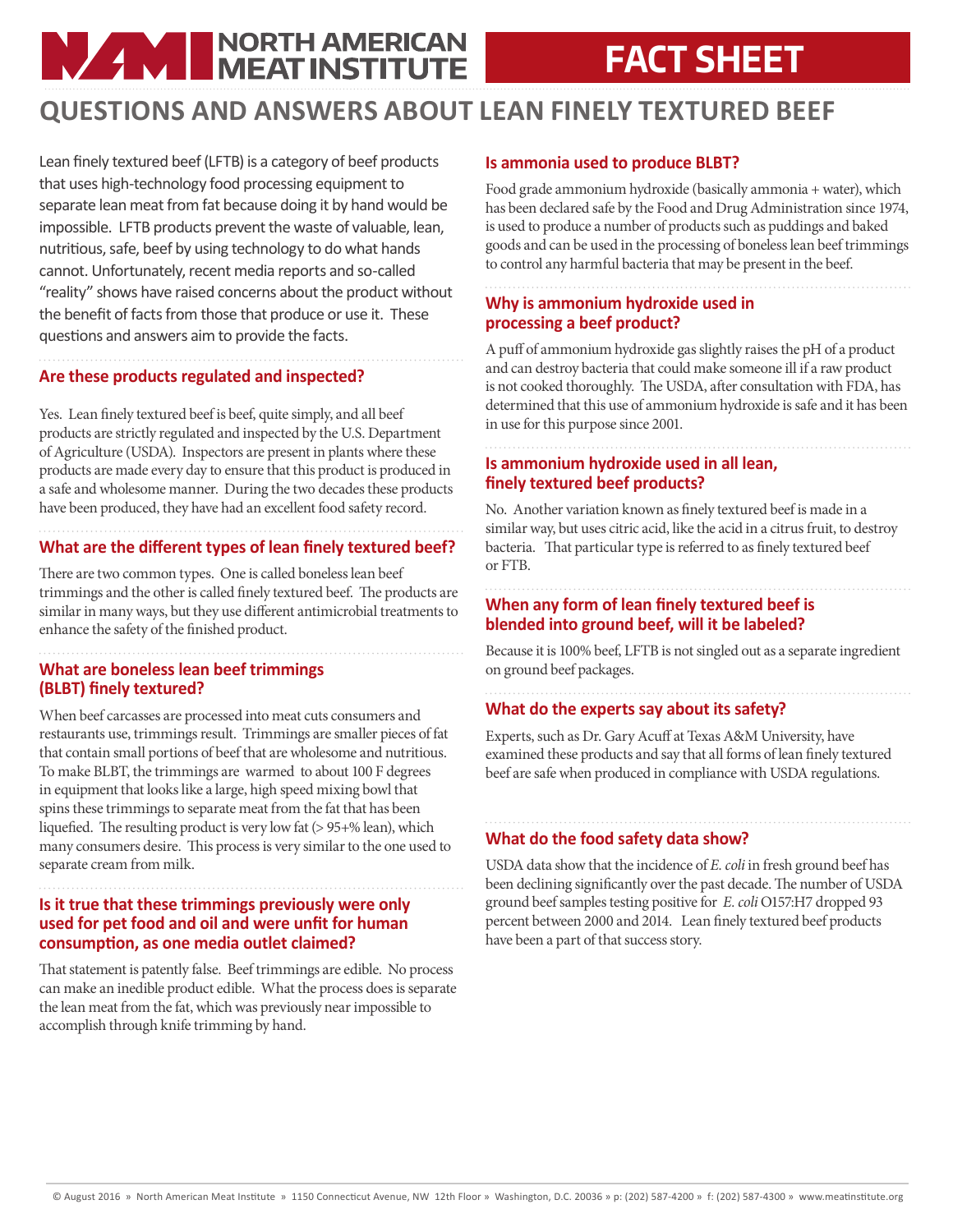# **NAME NORTH AMERICAN**

## **FACT SHEET**

### **QUESTIONS AND ANSWERS ABOUT LEAN FINELY TEXTURED BEEF**

Lean finely textured beef (LFTB) is a category of beef products that uses high-technology food processing equipment to separate lean meat from fat because doing it by hand would be impossible. LFTB products prevent the waste of valuable, lean, nutritious, safe, beef by using technology to do what hands cannot. Unfortunately, recent media reports and so-called "reality" shows have raised concerns about the product without the benefit of facts from those that produce or use it. These questions and answers aim to provide the facts.

#### **Are these products regulated and inspected?**

Yes. Lean finely textured beef is beef, quite simply, and all beef products are strictly regulated and inspected by the U.S. Department of Agriculture (USDA). Inspectors are present in plants where these products are made every day to ensure that this product is produced in a safe and wholesome manner. During the two decades these products have been produced, they have had an excellent food safety record.

#### **What are the different types of lean finely textured beef?**

There are two common types. One is called boneless lean beef trimmings and the other is called finely textured beef. The products are similar in many ways, but they use different antimicrobial treatments to enhance the safety of the finished product.

#### **What are boneless lean beef trimmings (BLBT) finely textured?**

When beef carcasses are processed into meat cuts consumers and restaurants use, trimmings result. Trimmings are smaller pieces of fat that contain small portions of beef that are wholesome and nutritious. To make BLBT, the trimmings are warmed to about 100 F degrees in equipment that looks like a large, high speed mixing bowl that spins these trimmings to separate meat from the fat that has been liquefied. The resulting product is very low fat (> 95+% lean), which many consumers desire. This process is very similar to the one used to separate cream from milk.

#### **Is it true that these trimmings previously were only used for pet food and oil and were unfit for human consumption, as one media outlet claimed?**

That statement is patently false. Beef trimmings are edible. No process can make an inedible product edible. What the process does is separate the lean meat from the fat, which was previously near impossible to accomplish through knife trimming by hand.

#### **Is ammonia used to produce BLBT?**

Food grade ammonium hydroxide (basically ammonia + water), which has been declared safe by the Food and Drug Administration since 1974, is used to produce a number of products such as puddings and baked goods and can be used in the processing of boneless lean beef trimmings to control any harmful bacteria that may be present in the beef.

#### **Why is ammonium hydroxide used in processing a beef product?**

A puff of ammonium hydroxide gas slightly raises the pH of a product and can destroy bacteria that could make someone ill if a raw product is not cooked thoroughly. The USDA, after consultation with FDA, has determined that this use of ammonium hydroxide is safe and it has been in use for this purpose since 2001.

#### **Is ammonium hydroxide used in all lean, finely textured beef products?**

No. Another variation known as finely textured beef is made in a similar way, but uses citric acid, like the acid in a citrus fruit, to destroy bacteria. That particular type is referred to as finely textured beef or FTB.

#### **When any form of lean finely textured beef is blended into ground beef, will it be labeled?**

Because it is 100% beef, LFTB is not singled out as a separate ingredient on ground beef packages.

#### **What do the experts say about its safety?**

Experts, such as Dr. Gary Acuff at Texas A&M University, have examined these products and say that all forms of lean finely textured beef are safe when produced in compliance with USDA regulations.

#### **What do the food safety data show?**

USDA data show that the incidence of *E. coli* in fresh ground beef has been declining significantly over the past decade. The number of USDA ground beef samples testing positive for *E. coli* O157:H7 dropped 93 percent between 2000 and 2014. Lean finely textured beef products have been a part of that success story.